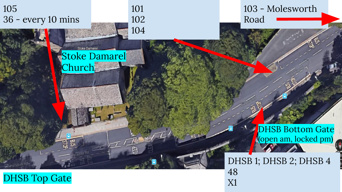

DHSB Top Gate

X1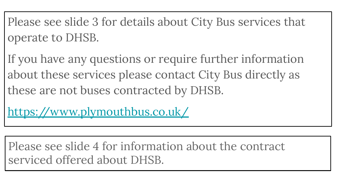Please see slide 3 for details about City Bus services that operate to DHSB.

If you have any questions or require further information about these services please contact City Bus directly as these are not buses contracted by DHSB.

<https://www.plymouthbus.co.uk/>

Please see slide 4 for information about the contract serviced offered about DHSB.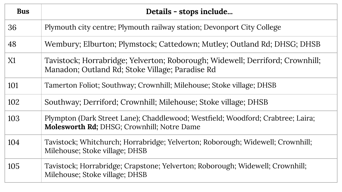| <b>Bus</b> | Details - stops include                                                                                                          |  |  |  |
|------------|----------------------------------------------------------------------------------------------------------------------------------|--|--|--|
| 36         | Plymouth city centre; Plymouth railway station; Devonport City College                                                           |  |  |  |
| 48         | Wembury; Elburton; Plymstock; Cattedown; Mutley; Outland Rd; DHSG; DHSB                                                          |  |  |  |
| X1         | Tavistock; Horrabridge; Yelverton; Roborough; Widewell; Derriford; Crownhill;<br>Manadon; Outland Rd; Stoke Village; Paradise Rd |  |  |  |
| 101        | Tamerton Foliot; Southway; Crownhill; Milehouse; Stoke village; DHSB                                                             |  |  |  |
| 102        | Southway; Derriford; Crownhill; Milehouse; Stoke village; DHSB                                                                   |  |  |  |
| 103        | Plympton (Dark Street Lane); Chaddlewood; Westfield; Woodford; Crabtree; Laira;<br>Molesworth Rd; DHSG; Crownhill; Notre Dame    |  |  |  |
| 104        | Tavistock; Whitchurch; Horrabridge; Yelverton; Roborough; Widewell; Crownhill;<br>Milehouse; Stoke village; DHSB                 |  |  |  |
| 105        | Tavistock; Horrabridge; Crapstone; Yelverton; Roborough; Widewell; Crownhill;<br>Milehouse; Stoke village; DHSB                  |  |  |  |